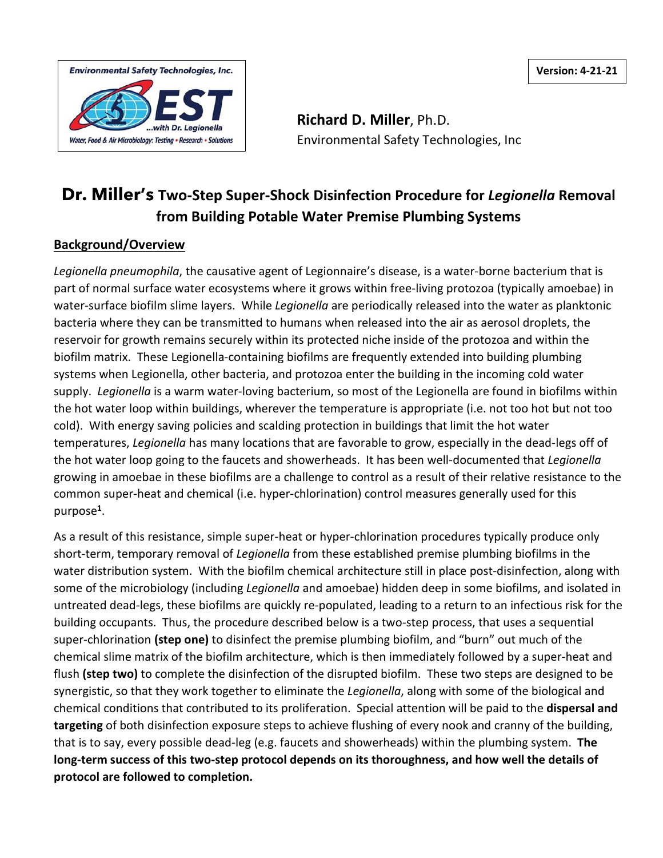**Version: 4-21-21**



**Richard D. Miller**, Ph.D. Environmental Safety Technologies, Inc

# **Dr. Miller's Two-Step Super-Shock Disinfection Procedure for** *Legionella* **Removal from Building Potable Water Premise Plumbing Systems**

# **Background/Overview**

*Legionella pneumophila*, the causative agent of Legionnaire's disease, is a water-borne bacterium that is part of normal surface water ecosystems where it grows within free-living protozoa (typically amoebae) in water-surface biofilm slime layers. While *Legionella* are periodically released into the water as planktonic bacteria where they can be transmitted to humans when released into the air as aerosol droplets, the reservoir for growth remains securely within its protected niche inside of the protozoa and within the biofilm matrix. These Legionella-containing biofilms are frequently extended into building plumbing systems when Legionella, other bacteria, and protozoa enter the building in the incoming cold water supply. *Legionella* is a warm water-loving bacterium, so most of the Legionella are found in biofilms within the hot water loop within buildings, wherever the temperature is appropriate (i.e. not too hot but not too cold). With energy saving policies and scalding protection in buildings that limit the hot water temperatures, *Legionella* has many locations that are favorable to grow, especially in the dead-legs off of the hot water loop going to the faucets and showerheads. It has been well-documented that *Legionella* growing in amoebae in these biofilms are a challenge to control as a result of their relative resistance to the common super-heat and chemical (i.e. hyper-chlorination) control measures generally used for this purpose**<sup>1</sup>**.

As a result of this resistance, simple super-heat or hyper-chlorination procedures typically produce only short-term, temporary removal of *Legionella* from these established premise plumbing biofilms in the water distribution system. With the biofilm chemical architecture still in place post-disinfection, along with some of the microbiology (including *Legionella* and amoebae) hidden deep in some biofilms, and isolated in untreated dead-legs, these biofilms are quickly re-populated, leading to a return to an infectious risk for the building occupants. Thus, the procedure described below is a two-step process, that uses a sequential super-chlorination **(step one)** to disinfect the premise plumbing biofilm, and "burn" out much of the chemical slime matrix of the biofilm architecture, which is then immediately followed by a super-heat and flush **(step two)** to complete the disinfection of the disrupted biofilm. These two steps are designed to be synergistic, so that they work together to eliminate the *Legionella*, along with some of the biological and chemical conditions that contributed to its proliferation. Special attention will be paid to the **dispersal and targeting** of both disinfection exposure steps to achieve flushing of every nook and cranny of the building, that is to say, every possible dead-leg (e.g. faucets and showerheads) within the plumbing system. **The long-term success of this two-step protocol depends on its thoroughness, and how well the details of protocol are followed to completion.**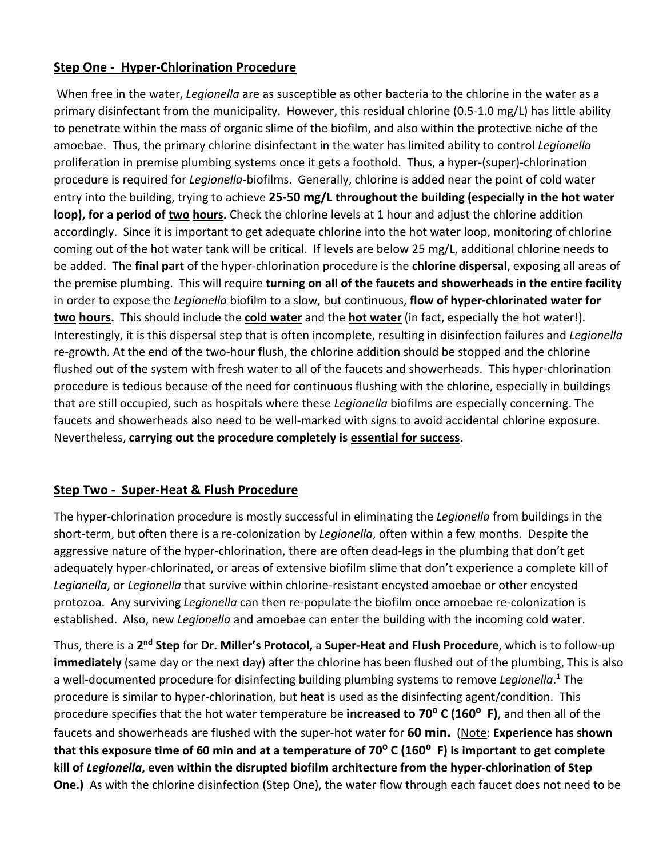### **Step One - Hyper-Chlorination Procedure**

When free in the water, *Legionella* are as susceptible as other bacteria to the chlorine in the water as a primary disinfectant from the municipality. However, this residual chlorine (0.5-1.0 mg/L) has little ability to penetrate within the mass of organic slime of the biofilm, and also within the protective niche of the amoebae. Thus, the primary chlorine disinfectant in the water has limited ability to control *Legionella* proliferation in premise plumbing systems once it gets a foothold. Thus, a hyper-(super)-chlorination procedure is required for *Legionella*-biofilms. Generally, chlorine is added near the point of cold water entry into the building, trying to achieve **25-50 mg/L throughout the building (especially in the hot water loop), for a period of two hours.** Check the chlorine levels at 1 hour and adjust the chlorine addition accordingly. Since it is important to get adequate chlorine into the hot water loop, monitoring of chlorine coming out of the hot water tank will be critical. If levels are below 25 mg/L, additional chlorine needs to be added. The **final part** of the hyper-chlorination procedure is the **chlorine dispersal**, exposing all areas of the premise plumbing. This will require **turning on all of the faucets and showerheads in the entire facility** in order to expose the *Legionella* biofilm to a slow, but continuous, **flow of hyper-chlorinated water for two hours.** This should include the **cold water** and the **hot water** (in fact, especially the hot water!). Interestingly, it is this dispersal step that is often incomplete, resulting in disinfection failures and *Legionella* re-growth. At the end of the two-hour flush, the chlorine addition should be stopped and the chlorine flushed out of the system with fresh water to all of the faucets and showerheads. This hyper-chlorination procedure is tedious because of the need for continuous flushing with the chlorine, especially in buildings that are still occupied, such as hospitals where these *Legionella* biofilms are especially concerning. The faucets and showerheads also need to be well-marked with signs to avoid accidental chlorine exposure. Nevertheless, **carrying out the procedure completely is essential for success**.

# **Step Two - Super-Heat & Flush Procedure**

The hyper-chlorination procedure is mostly successful in eliminating the *Legionella* from buildings in the short-term, but often there is a re-colonization by *Legionella*, often within a few months. Despite the aggressive nature of the hyper-chlorination, there are often dead-legs in the plumbing that don't get adequately hyper-chlorinated, or areas of extensive biofilm slime that don't experience a complete kill of *Legionella*, or *Legionella* that survive within chlorine-resistant encysted amoebae or other encysted protozoa. Any surviving *Legionella* can then re-populate the biofilm once amoebae re-colonization is established. Also, new *Legionella* and amoebae can enter the building with the incoming cold water.

Thus, there is a **2nd Step** for **Dr. Miller's Protocol,** a **Super-Heat and Flush Procedure**, which is to follow-up **immediately** (same day or the next day) after the chlorine has been flushed out of the plumbing, This is also a well-documented procedure for disinfecting building plumbing systems to remove *Legionella*. **<sup>1</sup>** The procedure is similar to hyper-chlorination, but **heat** is used as the disinfecting agent/condition. This procedure specifies that the hot water temperature be **increased to 70⁰ C (160⁰ F)**, and then all of the faucets and showerheads are flushed with the super-hot water for **60 min.** (Note: **Experience has shown that this exposure time of 60 min and at a temperature of 70⁰ C (160⁰ F) is important to get complete kill of** *Legionella***, even within the disrupted biofilm architecture from the hyper-chlorination of Step One.)** As with the chlorine disinfection (Step One), the water flow through each faucet does not need to be